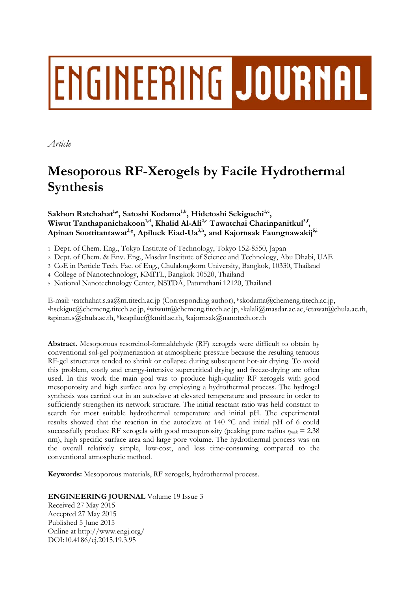# ENGINEERING JOURNAL

*Article* 

## **Mesoporous RF-Xerogels by Facile Hydrothermal Synthesis**

Sakhon Ratchahat<sup>1,a</sup>, Satoshi Kodama<sup>1,b</sup>, Hidetoshi Sekiguchi<sup>1,c</sup>, Wiwut Tanthapanichakoon<sup>1,d</sup>, Khalid Al-Ali<sup>2,e</sup> Tawatchai Charinpanitkul<sup>3,f</sup>, Apinan Soottitantawat<sup>3,g</sup>, Apiluck Eiad-Ua<sup>3,h</sup>, and Kajornsak Faungnawakij<sup>5,i</sup>

1 Dept. of Chem. Eng., Tokyo Institute of Technology, Tokyo 152-8550, Japan

2 Dept. of Chem. & Env. Eng., Masdar Institute of Science and Technology, Abu Dhabi, UAE

3 CoE in Particle Tech. Fac. of Eng., Chulalongkorn University, Bangkok, 10330, Thailand

4 College of Nanotechnology, KMITL, Bangkok 10520, Thailand

5 National Nanotechnology Center, NSTDA, Patumthani 12120, Thailand

E-mail: <sup>a</sup>ratchahat.s.aa@m.titech.ac.jp (Corresponding author), <sup>b</sup>skodama@chemeng.titech.ac.jp, chsekiguc@chemeng.titech.ac.jp, dwiwutt@chemeng.titech.ac.jp, ekalali@masdar.ac.ae, fctawat@chula.ac.th, gapinan.s@chula.ac.th, hkeapiluc@kmitl.ac.th, i kajornsak@nanotech.or.th

**Abstract.** Mesoporous resorcinol-formaldehyde (RF) xerogels were difficult to obtain by conventional sol-gel polymerization at atmospheric pressure because the resulting tenuous RF-gel structures tended to shrink or collapse during subsequent hot-air drying. To avoid this problem, costly and energy-intensive supercritical drying and freeze-drying are often used. In this work the main goal was to produce high-quality RF xerogels with good mesoporosity and high surface area by employing a hydrothermal process. The hydrogel synthesis was carried out in an autoclave at elevated temperature and pressure in order to sufficiently strengthen its network structure. The initial reactant ratio was held constant to search for most suitable hydrothermal temperature and initial pH. The experimental results showed that the reaction in the autoclave at 140 ºC and initial pH of 6 could successfully produce RF xerogels with good mesoporosity (peaking pore radius  $r_{peak} = 2.38$ ) nm), high specific surface area and large pore volume. The hydrothermal process was on the overall relatively simple, low-cost, and less time-consuming compared to the conventional atmospheric method.

**Keywords:** Mesoporous materials, RF xerogels, hydrothermal process.

**ENGINEERING JOURNAL** Volume 19 Issue 3

Received 27 May 2015 Accepted 27 May 2015 Published 5 June 2015 Online at http://www.engj.org/ DOI:10.4186/ej.2015.19.3.95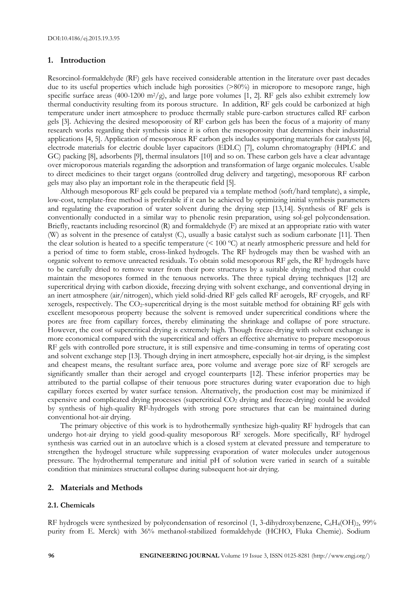#### **1. Introduction**

Resorcinol-formaldehyde (RF) gels have received considerable attention in the literature over past decades due to its useful properties which include high porosities (>80%) in micropore to mesopore range, high specific surface areas (400-1200 m<sup>2</sup>/g), and large pore volumes [1, 2]. RF gels also exhibit extremely low thermal conductivity resulting from its porous structure. In addition, RF gels could be carbonized at high temperature under inert atmosphere to produce thermally stable pure-carbon structures called RF carbon gels [3]. Achieving the desired mesoporosity of RF carbon gels has been the focus of a majority of many research works regarding their synthesis since it is often the mesoporosity that determines their industrial applications [4, 5]. Application of mesoporous RF carbon gels includes supporting materials for catalysts [6], electrode materials for electric double layer capacitors (EDLC) [7], column chromatography (HPLC and GC) packing [8], adsorbents [9], thermal insulators [10] and so on. These carbon gels have a clear advantage over microporous materials regarding the adsorption and transformation of large organic molecules. Usable to direct medicines to their target organs (controlled drug delivery and targeting), mesoporous RF carbon gels may also play an important role in the therapeutic field [5].

Although mesoporous RF gels could be prepared via a template method (soft/hard template), a simple, low-cost, template-free method is preferable if it can be achieved by optimizing initial synthesis parameters and regulating the evaporation of water solvent during the drying step [13,14]. Synthesis of RF gels is conventionally conducted in a similar way to phenolic resin preparation, using sol-gel polycondensation. Briefly, reactants including resorcinol (R) and formaldehyde (F) are mixed at an appropriate ratio with water (W) as solvent in the presence of catalyst (C), usually a basic catalyst such as sodium carbonate [11]. Then the clear solution is heated to a specific temperature (< 100 ºC) at nearly atmospheric pressure and held for a period of time to form stable, cross-linked hydrogels. The RF hydrogels may then be washed with an organic solvent to remove unreacted residuals. To obtain solid mesoporous RF gels, the RF hydrogels have to be carefully dried to remove water from their pore structures by a suitable drying method that could maintain the mesopores formed in the tenuous networks. The three typical drying techniques [12] are supercritical drying with carbon dioxide, freezing drying with solvent exchange, and conventional drying in an inert atmosphere (air/nitrogen), which yield solid-dried RF gels called RF aerogels, RF cryogels, and RF xerogels, respectively. The CO2-supercritical drying is the most suitable method for obtaining RF gels with excellent mesoporous property because the solvent is removed under supercritical conditions where the pores are free from capillary forces, thereby eliminating the shrinkage and collapse of pore structure. However, the cost of supercritical drying is extremely high. Though freeze-drying with solvent exchange is more economical compared with the supercritical and offers an effective alternative to prepare mesoporous RF gels with controlled pore structure, it is still expensive and time-consuming in terms of operating cost and solvent exchange step [13]. Though drying in inert atmosphere, especially hot-air drying, is the simplest and cheapest means, the resultant surface area, pore volume and average pore size of RF xerogels are significantly smaller than their aerogel and cryogel counterparts [12]. These inferior properties may be attributed to the partial collapse of their tenuous pore structures during water evaporation due to high capillary forces exerted by water surface tension. Alternatively, the production cost may be minimized if expensive and complicated drying processes (supercritical CO2 drying and freeze-drying) could be avoided by synthesis of high-quality RF-hydrogels with strong pore structures that can be maintained during conventional hot-air drying.

The primary objective of this work is to hydrothermally synthesize high-quality RF hydrogels that can undergo hot-air drying to yield good-quality mesoporous RF xerogels. More specifically, RF hydrogel synthesis was carried out in an autoclave which is a closed system at elevated pressure and temperature to strengthen the hydrogel structure while suppressing evaporation of water molecules under autogenous pressure. The hydrothermal temperature and initial pH of solution were varied in search of a suitable condition that minimizes structural collapse during subsequent hot-air drying.

#### **2. Materials and Methods**

#### **2.1. Chemicals**

RF hydrogels were synthesized by polycondensation of resorcinol (1, 3-dihydroxybenzene, C<sub>6</sub>H<sub>4</sub>(OH)<sub>2</sub>, 99% purity from E. Merck) with 36% methanol-stabilized formaldehyde (HCHO, Fluka Chemie). Sodium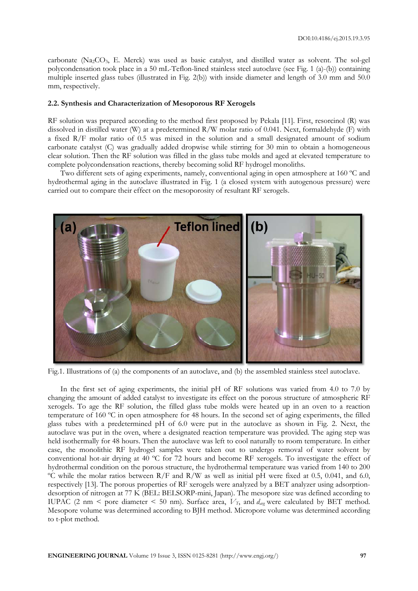carbonate (Na2CO3, E. Merck) was used as basic catalyst, and distilled water as solvent. The sol-gel polycondensation took place in a 50 mL-Teflon-lined stainless steel autoclave (see Fig. 1 (a)-(b)) containing multiple inserted glass tubes (illustrated in Fig. 2(b)) with inside diameter and length of 3.0 mm and 50.0 mm, respectively.

#### **2.2. Synthesis and Characterization of Mesoporous RF Xerogels**

RF solution was prepared according to the method first proposed by Pekala [11]. First, resorcinol (R) was dissolved in distilled water (W) at a predetermined R/W molar ratio of 0.041. Next, formaldehyde (F) with a fixed R/F molar ratio of 0.5 was mixed in the solution and a small designated amount of sodium carbonate catalyst (C) was gradually added dropwise while stirring for 30 min to obtain a homogeneous clear solution. Then the RF solution was filled in the glass tube molds and aged at elevated temperature to complete polycondensation reactions, thereby becoming solid RF hydrogel monoliths.

Two different sets of aging experiments, namely, conventional aging in open atmosphere at 160 °C and hydrothermal aging in the autoclave illustrated in Fig. 1 (a closed system with autogenous pressure) were carried out to compare their effect on the mesoporosity of resultant RF xerogels.



Fig.1. Illustrations of (a) the components of an autoclave, and (b) the assembled stainless steel autoclave.

In the first set of aging experiments, the initial pH of RF solutions was varied from 4.0 to 7.0 by changing the amount of added catalyst to investigate its effect on the porous structure of atmospheric RF xerogels. To age the RF solution, the filled glass tube molds were heated up in an oven to a reaction temperature of 160 ºC in open atmosphere for 48 hours. In the second set of aging experiments, the filled glass tubes with a predetermined pH of 6.0 were put in the autoclave as shown in Fig. 2. Next, the autoclave was put in the oven, where a designated reaction temperature was provided. The aging step was held isothermally for 48 hours. Then the autoclave was left to cool naturally to room temperature. In either case, the monolithic RF hydrogel samples were taken out to undergo removal of water solvent by conventional hot-air drying at 40 ºC for 72 hours and become RF xerogels. To investigate the effect of hydrothermal condition on the porous structure, the hydrothermal temperature was varied from 140 to 200 ºC while the molar ratios between R/F and R/W as well as initial pH were fixed at 0.5, 0.041, and 6.0, respectively [13]. The porous properties of RF xerogels were analyzed by a BET analyzer using adsorptiondesorption of nitrogen at 77 K (BEL: BELSORP-mini, Japan). The mesopore size was defined according to IUPAC (2 nm < pore diameter < 50 nm). Surface area,  $V_T$ , and  $d_{avg}$  were calculated by BET method. Mesopore volume was determined according to BJH method. Micropore volume was determined according to t-plot method.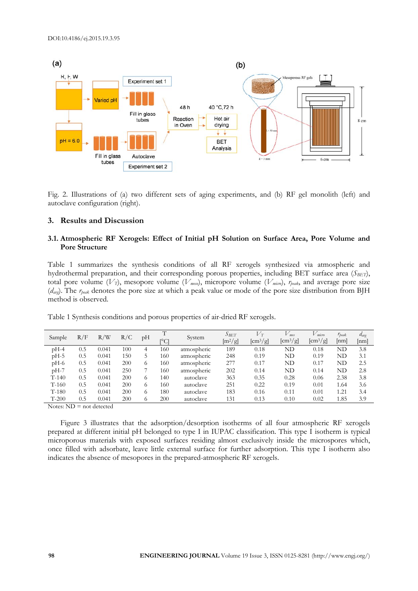

Fig. 2. Illustrations of (a) two different sets of aging experiments, and (b) RF gel monolith (left) and autoclave configuration (right).

#### **3. Results and Discussion**

#### **3.1. Atmospheric RF Xerogels: Effect of Initial pH Solution on Surface Area, Pore Volume and Pore Structure**

Table 1 summarizes the synthesis conditions of all RF xerogels synthesized via atmospheric and hydrothermal preparation, and their corresponding porous properties, including BET surface area (*SBET*), total pore volume (*VT*), mesopore volume (*Vmeso*), micropore volume (*Vmicro*), *rpeak*, and average pore size (*davg*). The *rpeak* denotes the pore size at which a peak value or mode of the pore size distribution from BJH method is observed.

| Sample  | R/F | /W<br>R/ | R/C | рH       | ∼    | System      | $S_{BET}$ | $V_T$                                 | $V$ <sub>mes</sub>                    | $V$ micro                             | $r_{\text{peak}}$ | $d_{\text{avg}}$ |
|---------|-----|----------|-----|----------|------|-------------|-----------|---------------------------------------|---------------------------------------|---------------------------------------|-------------------|------------------|
|         |     |          |     |          | ſ°Сl |             | $[m^2/g]$ | $\left[ \text{cm}^3/\text{g} \right]$ | $\left[ \text{cm}^3/\text{g} \right]$ | $\left[ \text{cm}^3/\text{g} \right]$ | [nm]              | [nm]             |
| $pH-4$  | 0.5 | 0.041    | 100 | 4        | 160  | atmospheric | 189       | 0.18                                  | $_{\rm ND}$                           | 0.18                                  | $_{\rm ND}$       | 3.8              |
| $pH-5$  | 0.5 | 0.041    | 150 |          | 160  | atmospheric | 248       | 0.19                                  | $_{\rm ND}$                           | 0.19                                  | ND                | 3.1              |
| $pH-6$  | 0.5 | 0.041    | 200 | 6        | 160  | atmospheric | 277       | 0.17                                  | $_{\rm ND}$                           | 0.17                                  | $_{\rm ND}$       | 2.5              |
| $pH-7$  | 0.5 | 0.041    | 250 |          | 160  | atmospheric | 202       | 0.14                                  | $_{\rm ND}$                           | 0.14                                  | $_{\rm ND}$       | 2.8              |
| $T-140$ | 0.5 | 0.041    | 200 | 6        | 140  | autoclave   | 363       | 0.35                                  | 0.28                                  | 0.06                                  | 2.38              | 3.8              |
| $T-160$ | 0.5 | 0.041    | 200 | 6        | 160  | autoclave   | 251       | 0.22                                  | 0.19                                  | 0.01                                  | 1.64              | 3.6              |
| $T-180$ | 0.5 | 0.041    | 200 | 6        | 180  | autoclave   | 183       | 0.16                                  | 0.11                                  | 0.01                                  | 1.21              | 3.4              |
| $T-200$ | 0.5 | 0.041    | 200 | $^{(1)}$ | 200  | autoclave   | 131       | 0.13                                  | 0.10                                  | 0.02                                  | 1.85              | 3.9              |

Table 1 Synthesis conditions and porous properties of air-dried RF xerogels.

Notes:  $ND = not detected$ 

Figure 3 illustrates that the adsorption/desorption isotherms of all four atmospheric RF xerogels prepared at different initial pH belonged to type I in IUPAC classification. This type I isotherm is typical microporous materials with exposed surfaces residing almost exclusively inside the microspores which, once filled with adsorbate, leave little external surface for further adsorption. This type I isotherm also indicates the absence of mesopores in the prepared-atmospheric RF xerogels.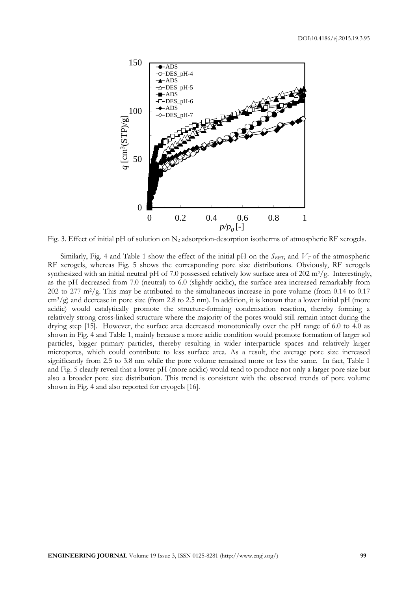

Fig. 3. Effect of initial pH of solution on N<sub>2</sub> adsorption-desorption isotherms of atmospheric RF xerogels.

Similarly, Fig. 4 and Table 1 show the effect of the initial pH on the  $S_{BET}$ , and  $V_T$  of the atmospheric RF xerogels, whereas Fig. 5 shows the corresponding pore size distributions. Obviously, RF xerogels synthesized with an initial neutral pH of 7.0 possessed relatively low surface area of  $202 \text{ m}^2/\text{g}$ . Interestingly, as the pH decreased from 7.0 (neutral) to 6.0 (slightly acidic), the surface area increased remarkably from 202 to 277  $\text{m}^2/\text{g}$ . This may be attributed to the simultaneous increase in pore volume (from 0.14 to 0.17  $\text{cm}^3/\text{g}$ ) and decrease in pore size (from 2.8 to 2.5 nm). In addition, it is known that a lower initial pH (more acidic) would catalytically promote the structure-forming condensation reaction, thereby forming a relatively strong cross-linked structure where the majority of the pores would still remain intact during the drying step [15]. However, the surface area decreased monotonically over the pH range of 6.0 to 4.0 as shown in Fig. 4 and Table 1, mainly because a more acidic condition would promote formation of larger sol particles, bigger primary particles, thereby resulting in wider interparticle spaces and relatively larger micropores, which could contribute to less surface area. As a result, the average pore size increased significantly from 2.5 to 3.8 nm while the pore volume remained more or less the same. In fact, Table 1 and Fig. 5 clearly reveal that a lower pH (more acidic) would tend to produce not only a larger pore size but also a broader pore size distribution. This trend is consistent with the observed trends of pore volume shown in Fig. 4 and also reported for cryogels [16].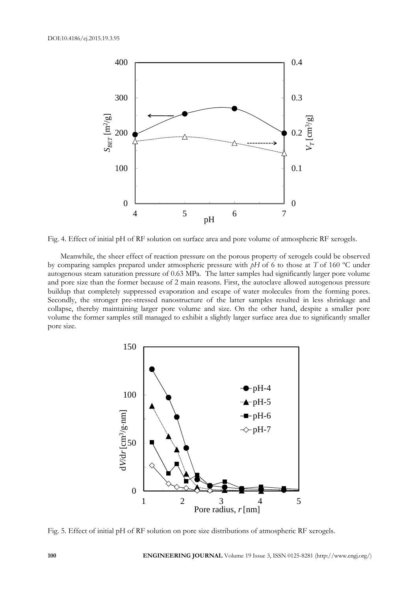

Fig. 4. Effect of initial pH of RF solution on surface area and pore volume of atmospheric RF xerogels.

Meanwhile, the sheer effect of reaction pressure on the porous property of xerogels could be observed by comparing samples prepared under atmospheric pressure with *pH* of 6 to those at *T* of 160 ºC under autogenous steam saturation pressure of 0.63 MPa. The latter samples had significantly larger pore volume and pore size than the former because of 2 main reasons. First, the autoclave allowed autogenous pressure buildup that completely suppressed evaporation and escape of water molecules from the forming pores. Secondly, the stronger pre-stressed nanostructure of the latter samples resulted in less shrinkage and collapse, thereby maintaining larger pore volume and size. On the other hand, despite a smaller pore volume the former samples still managed to exhibit a slightly larger surface area due to significantly smaller pore size.



Fig. 5. Effect of initial pH of RF solution on pore size distributions of atmospheric RF xerogels.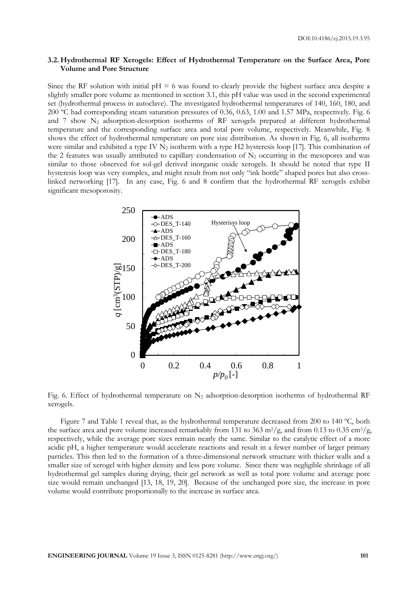#### **3.2. Hydrothermal RF Xerogels: Effect of Hydrothermal Temperature on the Surface Area, Pore Volume and Pore Structure**

Since the RF solution with initial  $pH = 6$  was found to clearly provide the highest surface area despite a slightly smaller pore volume as mentioned in section 3.1, this pH value was used in the second experimental set (hydrothermal process in autoclave). The investigated hydrothermal temperatures of 140, 160, 180, and 200 ºC had corresponding steam saturation pressures of 0.36, 0.63, 1.00 and 1.57 MPa, respectively. Fig. 6 and  $7$  show  $N_2$  adsorption-desorption isotherms of RF xerogels prepared at different hydrothermal temperature and the corresponding surface area and total pore volume, respectively. Meanwhile, Fig. 8 shows the effect of hydrothermal temperature on pore size distribution. As shown in Fig. 6, all isotherms were similar and exhibited a type IV  $N_2$  isotherm with a type H2 hysteresis loop [17]. This combination of the 2 features was usually attributed to capillary condensation of  $N_2$  occurring in the mesopores and was similar to those observed for sol-gel derived inorganic oxide xerogels. It should be noted that type II hysteresis loop was very complex, and might result from not only "ink bottle" shaped pores but also crosslinked networking [17]. In any case, Fig. 6 and 8 confirm that the hydrothermal RF xerogels exhibit significant mesoporosity.



Fig. 6. Effect of hydrothermal temperature on  $N_2$  adsorption-desorption isotherms of hydrothermal RF xerogels.

Figure 7 and Table 1 reveal that, as the hydrothermal temperature decreased from 200 to 140 ºC, both the surface area and pore volume increased remarkably from 131 to 363 m<sup>2</sup>/g, and from 0.13 to 0.35 cm<sup>3</sup>/g, respectively, while the average pore sizes remain nearly the same. Similar to the catalytic effect of a more acidic pH, a higher temperature would accelerate reactions and result in a fewer number of larger primary particles. This then led to the formation of a three-dimensional network structure with thicker walls and a smaller size of xerogel with higher density and less pore volume. Since there was negligible shrinkage of all hydrothermal gel samples during drying, their gel network as well as total pore volume and average pore size would remain unchanged [13, 18, 19, 20]. Because of the unchanged pore size, the increase in pore volume would contribute proportionally to the increase in surface area.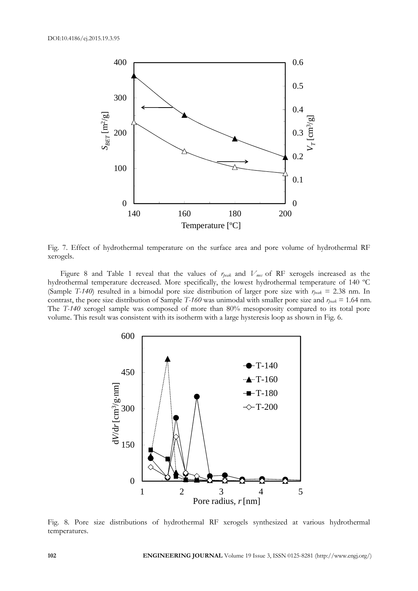

Fig. 7. Effect of hydrothermal temperature on the surface area and pore volume of hydrothermal RF xerogels.

Figure 8 and Table 1 reveal that the values of *rpeak* and *Vmes* of RF xerogels increased as the hydrothermal temperature decreased. More specifically, the lowest hydrothermal temperature of 140 ºC (Sample *T-140*) resulted in a bimodal pore size distribution of larger pore size with *rpeak* = 2.38 nm. In contrast, the pore size distribution of Sample *T-160* was unimodal with smaller pore size and *rpeak* = 1.64 nm. The *T-140* xerogel sample was composed of more than 80% mesoporosity compared to its total pore volume. This result was consistent with its isotherm with a large hysteresis loop as shown in Fig. 6.



Fig. 8. Pore size distributions of hydrothermal RF xerogels synthesized at various hydrothermal temperatures.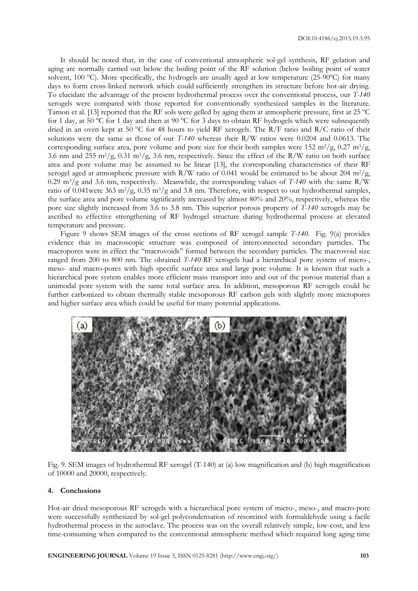It should be noted that, in the case of conventional atmospheric sol-gel synthesis, RF gelation and aging are normally carried out below the boiling point of the RF solution (below boiling point of water solvent, 100 ºC). More specifically, the hydrogels are usually aged at low temperature (25-90ºC) for many days to form cross-linked network which could sufficiently strengthen its structure before hot-air drying. To elucidate the advantage of the present hydrothermal process over the conventional process, our *T-140* xerogels were compared with those reported for conventionally synthesized samples in the literature. Tamon et al. [13] reported that the RF sols were gelled by aging them at atmospheric pressure, first at 25 ºC for 1 day, at 50 ºC for 1 day and then at 90 ºC for 3 days to obtain RF hydrogels which were subsequently dried in an oven kept at 50 °C for 48 hours to yield RF xerogels. The R/F ratio and R/C ratio of their solutions were the same as those of our *T-140* whereas their R/W ratios were 0.0204 and 0.0613. The corresponding surface area, pore volume and pore size for their both samples were 152 m<sup>2</sup>/g, 0.27 m<sup>3</sup>/g, 3.6 nm and 255 m2/g, 0.31 m3/g, 3.6 nm, respectively. Since the effect of the R/W ratio on both surface area and pore volume may be assumed to be linear [13], the corresponding characteristics of their RF xerogel aged at atmospheric pressure with R/W ratio of 0.041 would be estimated to be about 204 m<sup>2</sup>/g, 0.29 m3/g and 3.6 nm, respectively. Meanwhile, the corresponding values of *T-140* with the same R/W ratio of 0.041were 363 m<sup>2</sup>/g, 0.35 m<sup>3</sup>/g and 3.8 nm. Therefore, with respect to our hydrothermal samples, the surface area and pore volume significantly increased by almost 80% and 20%, respectively, whereas the pore size slightly increased from 3.6 to 3.8 nm. This superior porous property of *T-140* xerogels may be ascribed to effective strengthening of RF hydrogel structure during hydrothermal process at elevated temperature and pressure.

Figure 9 shows SEM images of the cross sections of RF xerogel sample *T-140*. Fig. 9(a) provides evidence that its macroscopic structure was composed of interconnected secondary particles. The macropores were in effect the ''macrovoids'' formed between the secondary particles. The macrovoid size ranged from 200 to 800 nm. The obtained *T-140* RF xerogels had a hierarchical pore system of micro-, meso- and macro-pores with high specific surface area and large pore volume. It is known that such a hierarchical pore system enables more efficient mass transport into and out of the porous material than a unimodal pore system with the same total surface area. In addition, mesoporous RF xerogels could be further carbonized to obtain thermally stable mesoporous RF carbon gels with slightly more micropores and higher surface area which could be useful for many potential applications.



Fig. 9. SEM images of hydrothermal RF xerogel (T-140) at (a) low magnification and (b) high magnification of 10000 and 20000, respectively.

#### **4. Conclusions**

Hot-air dried mesoporous RF xerogels with a hierarchical pore system of micro-, meso-, and macro-pore were successfully synthesized by sol-gel polycondensation of resorcinol with formaldehyde using a facile hydrothermal process in the autoclave. The process was on the overall relatively simple, low-cost, and less time-consuming when compared to the conventional atmospheric method which required long aging time